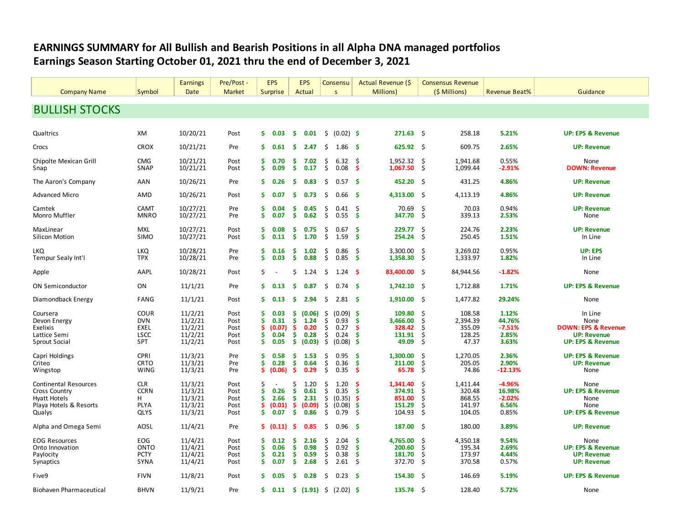## **EARNINGS SUMMARY for All Bullish and Bearish Positions in all Alpha DNA managed portfolios Earnings Season Starting October 01, 2021 thru the end of December 3, 2021**

|                                |                    | <b>Earnings</b>      | Pre/Post -    |               | <b>EPS</b>               |               | <b>EPS</b>     |          | Consensu                |                | Actual Revenue (\$   |              | <b>Consensus Revenue</b> |                      |                                                    |
|--------------------------------|--------------------|----------------------|---------------|---------------|--------------------------|---------------|----------------|----------|-------------------------|----------------|----------------------|--------------|--------------------------|----------------------|----------------------------------------------------|
| <b>Company Name</b>            | Symbol             | Date                 | <b>Market</b> |               | Surprise                 |               | Actual         |          | <sub>S</sub>            |                | Millions)            |              | (\$ Millions)            | <b>Revenue Beat%</b> | Guidance                                           |
|                                |                    |                      |               |               |                          |               |                |          |                         |                |                      |              |                          |                      |                                                    |
| <b>BULLISH STOCKS</b>          |                    |                      |               |               |                          |               |                |          |                         |                |                      |              |                          |                      |                                                    |
| Qualtrics                      | XM                 | 10/20/21             | Post          | S.            | 0.03                     | -S            | 0.01           | \$.      | $(0.02)$ \$             |                | 271.63               | - \$         | 258.18                   | 5.21%                | <b>UP: EPS &amp; Revenue</b>                       |
|                                |                    |                      |               |               |                          |               |                |          |                         |                |                      |              |                          |                      |                                                    |
| Crocs                          | <b>CROX</b>        | 10/21/21             | Pre           | s             | 0.61                     | -S            | 2.47           | Ŝ.       | 1.86                    | - S            | $625.92$ \$          |              | 609.75                   | 2.65%                | <b>UP: Revenue</b>                                 |
| Chipolte Mexican Grill<br>Snap | <b>CMG</b><br>SNAP | 10/21/21<br>10/21/21 | Post<br>Post  | S<br>\$       | 0.70<br>0.09             | s<br><b>S</b> | 7.02<br>0.17   | \$<br>\$ | 6.32<br>0.08            | -\$<br>-S      | 1,952.32<br>1,067.50 | -\$<br>-S    | 1,941.68<br>1,099.44     | 0.55%<br>$-2.91%$    | None<br><b>DOWN: Revenue</b>                       |
| The Aaron's Company            | AAN                | 10/26/21             | Pre           | s             | 0.26                     | s.            | 0.83           | \$.      | 0.57                    | - \$           | 452.20 \$            |              | 431.25                   | 4.86%                | <b>UP: Revenue</b>                                 |
| <b>Advanced Micro</b>          | AMD                | 10/26/21             | Post          | s             | 0.07                     | s.            | 0.73           | Ŝ        | 0.66                    | ు              | 4,313.00 \$          |              | 4,113.19                 | 4.86%                | <b>UP: Revenue</b>                                 |
| Camtek                         | <b>CAMT</b>        | 10/27/21             | Pre           | s             | 0.04                     | \$.           | 0.45           | S        | 0.41                    | -\$            | 70.69                | S.           | 70.03                    | 0.94%                | <b>UP: Revenue</b>                                 |
| Monro Muffler                  | <b>MNRO</b>        | 10/27/21             | Pre           | s             | 0.07                     | \$.           | 0.62           | Ŝ.       | 0.55                    | <b>S</b>       | 347.70               | $\mathsf{S}$ | 339.13                   | 2.53%                | None                                               |
| MaxLinear                      | <b>MXL</b>         | 10/27/21             | Post          | S             | 0.08                     | s             | 0.75           | S        | 0.67                    | -\$            | 229.77               | \$           | 224.76                   | 2.23%                | <b>UP: Revenue</b>                                 |
| Silicon Motion                 | SIMO               | 10/27/21             | Post          | <b>S</b>      | 0.11                     | -\$           | 1.70           | \$       | 1.59                    | -S             | 254.24               | -S           | 250.45                   | 1.51%                | In Line                                            |
| LKQ                            | <b>LKQ</b>         | 10/28/21             | Pre           | s.            | 0.16                     | \$.           | 1.02           | \$       | 0.86                    | S.             | 3,300.00             | \$           | 3,269.02                 | 0.95%                | <b>UP: EPS</b>                                     |
| Tempur Sealy Int'l             | <b>TPX</b>         | 10/28/21             | Pre           | <b>S</b>      | 0.03                     | \$            | 0.88           | \$.      | 0.85                    | <b>S</b>       | 1,358.30             | \$           | 1,333.97                 | 1.82%                | In Line                                            |
| Apple                          | AAPL               | 10/28/21             | Post          | S             |                          | \$            | 1.24           | S.       | 1.24                    | − S            | 83,400.00 \$         |              | 84,944.56                | $-1.82%$             | None                                               |
| <b>ON Semiconductor</b>        | ON                 | 11/1/21              | Pre           | s             | 0.13                     | s.            | 0.87           | \$.      | 0.74 <sub>5</sub>       |                | $1,742.10$ \$        |              | 1,712.88                 | 1.71%                | <b>UP: EPS &amp; Revenue</b>                       |
| Diamondback Energy             | FANG               | 11/1/21              | Post          | s             | 0.13                     | -S            | 2.94           | S.       | 2.81S                   |                | $1,910.00$ \$        |              | 1,477.82                 | 29.24%               | None                                               |
| Coursera                       | COUR               | 11/2/21              | Post          | \$            | 0.03                     | \$.           | (0.06)         | \$       | (0.09)                  | -S             | 109.80               | \$           | 108.58                   | 1.12%                | In Line                                            |
| Devon Energy                   | <b>DVN</b>         | 11/2/21              | Post          | Ś             | 0.31                     | \$            | 1.24           | \$       | 0.93                    | <b>S</b>       | 3,466.00             | \$           | 2,394.39                 | 44.76%               | None                                               |
| Exelixis                       | <b>EXEL</b>        | 11/2/21              | Post          | S             | (0.07)                   | \$.           | 0.20           | S        | 0.27                    | .S             | 328.42               | \$           | 355.09                   | $-7.51%$             | <b>DOWN: EPS &amp; Revenue</b>                     |
| Lattice Semi<br>Sprout Social  | <b>LSCC</b><br>SPT | 11/2/21<br>11/2/21   | Post<br>Post  | <b>S</b><br>Ŝ | 0.04<br>0.05             | S.<br>S.      | 0.28<br>(0.03) | \$<br>\$ | 0.24<br>(0.08)          | <b>S</b><br>-S | 131.91<br>49.09      | \$.<br>\$.   | 128.25<br>47.37          | 2.85%<br>3.63%       | <b>UP: Revenue</b><br><b>UP: EPS &amp; Revenue</b> |
|                                |                    |                      |               |               |                          |               |                |          |                         |                |                      |              |                          |                      |                                                    |
| Capri Holdings                 | <b>CPRI</b>        | 11/3/21              | Pre           | Ŝ             | 0.58                     | \$            | 1.53           | S        | 0.95                    | -S             | 1,300.00             | .s           | 1,270.05                 | 2.36%                | <b>UP: EPS &amp; Revenue</b>                       |
| Criteo                         | <b>CRTO</b>        | 11/3/21              | Pre           | <b>S</b>      | 0.28                     | <b>S</b>      | 0.64           | \$       | 0.36                    | <b>S</b>       | 211.00               | S.           | 205.05                   | 2.90%                | <b>UP: Revenue</b>                                 |
| Wingstop                       | <b>WING</b>        | 11/3/21              | Pre           | S             | (0.06)                   | <b>S</b>      | 0.29           | \$.      | 0.35                    | <b>S</b>       | 65.78                | \$.          | 74.86                    | $-12.13%$            | None                                               |
| <b>Continental Resources</b>   | <b>CLR</b>         | 11/3/21              | Post          | Ś             | $\overline{\phantom{a}}$ | Ś             | 1.20           | S        | 1.20                    | S              | 1,341.40             | S.           | 1,411.44                 | $-4.96%$             | None                                               |
| <b>Cross Country</b>           | <b>CCRN</b>        | 11/3/21              | Post          | Ŝ             | 0.26                     | s.            | 0.61           | S        | 0.35                    | -S             | 374.91               | S.           | 320.48                   | 16.98%               | <b>UP: EPS &amp; Revenue</b>                       |
| Hyatt Hotels                   | н                  | 11/3/21              | Post          | Ŝ             | 2.66                     | \$            | 2.31           | \$       | (0.35)                  | .S             | 851.00               | S            | 868.55                   | $-2.02%$             | None                                               |
| Playa Hotels & Resorts         | <b>PLYA</b>        | 11/3/21              | Post          | s             | (0.01)                   | Ş.            | (0.09)         | \$       | (0.08)                  | -\$            | 151.29               | \$.          | 141.97                   | 6.56%                | None                                               |
| Qualys                         | QLYS               | 11/3/21              | Post          | S             | 0.07                     | -S            | 0.86           | \$       | 0.79                    | \$             | 104.93               | \$           | 104.05                   | 0.85%                | <b>UP: EPS &amp; Revenue</b>                       |
| Alpha and Omega Semi           | AOSL               | 11/4/21              | Pre           |               | S(0.11)                  | -S            | 0.85           | S.       | 0.96                    | - \$           | $187.00$ \$          |              | 180.00                   | 3.89%                | <b>UP: Revenue</b>                                 |
| <b>EOG Resources</b>           | EOG                | 11/4/21              | Post          | S             | 0.12                     | \$.           | 2.16           | \$       | 2.04                    | -\$            | 4,765.00             | \$,          | 4,350.18                 | 9.54%                | None                                               |
| Onto Innovation                | ONTO               | 11/4/21              | Post          | \$            | 0.06                     | \$            | 0.98           | \$       | 0.92                    | -\$            | 200.60               | \$           | 195.34                   | 2.69%                | <b>UP: EPS &amp; Revenue</b>                       |
| Paylocity                      | <b>PCTY</b>        | 11/4/21              | Post          | <b>S</b>      | 0.21                     | \$.           | 0.59           | \$       | 0.38                    | <b>S</b>       | 181.70               | S            | 173.97                   | 4.44%                | <b>UP: Revenue</b>                                 |
| Synaptics                      | <b>SYNA</b>        | 11/4/21              | Post          | \$.           | 0.07                     | <b>S</b>      | 2.68           | Ŝ.       | 2.61                    | -\$            | 372.70               | \$           | 370.58                   | 0.57%                | <b>UP: Revenue</b>                                 |
| Five9                          | <b>FIVN</b>        | 11/8/21              | Post          | s.            | 0.05                     | s.            | 0.28           | Ŝ.       | 0.23 <sub>5</sub>       |                | 154.30 S             |              | 146.69                   | 5.19%                | <b>UP: EPS &amp; Revenue</b>                       |
| <b>Biohaven Pharmaceutical</b> | <b>BHVN</b>        | 11/9/21              | Pre           | S.            | 0.11                     | -S            |                |          | $(1.91)$ \$ $(2.02)$ \$ |                | $135.74$ \$          |              | 128.40                   | 5.72%                | None                                               |